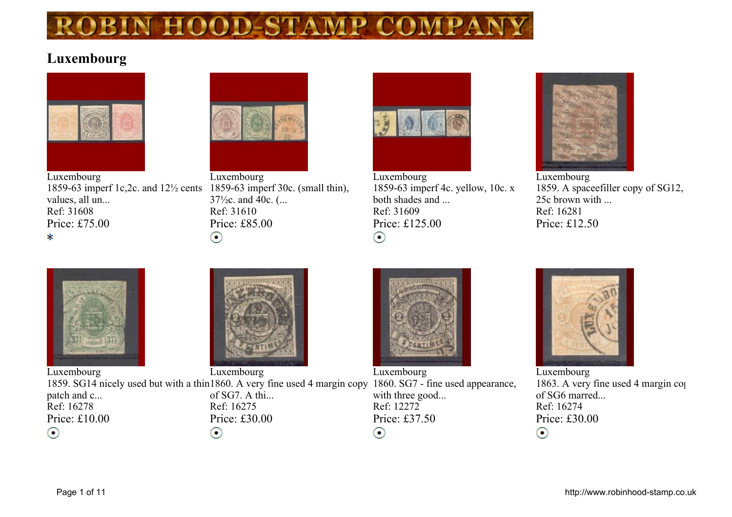

#### **Luxembourg**



**Luxembourg 1859-63 imperf 1c,2c. and 12½ cents 1859-63 imperf 30c. (small thin), values, all un... Ref: 31608 Price: £75.00** \*



**Luxembourg 37½c. and 40c. (... Ref: 31610 Price: £85.00**  $_{\odot}$ 



**Luxembourg 1859-63 imperf 4c. yellow, 10c. x both shades and ... Ref: 31609 Price: £125.00**  $_{\odot}$ 



**Luxembourg 1859. A spaceefiller copy of SG12, 25c brown with ... Ref: 16281 Price: £12.50**



**Luxembourg Luxembourg Luxembourg** 1859. SG14 nicely used but with a thin1860. A very fine used 4 margin copy 1860. SG7 - fine used appearance, **of SG7. A thi... with three good... patch and c... Ref: 16278 Ref: 16275 Ref: 12272 Price: £10.00 Price: £30.00 Price: £37.50** ⊙  $_{\odot}$  $_{\odot}$ 



**Luxembourg 1863. A very fine used 4 margin copy of SG6 marred... Ref: 16274 Price: £30.00**  $\odot$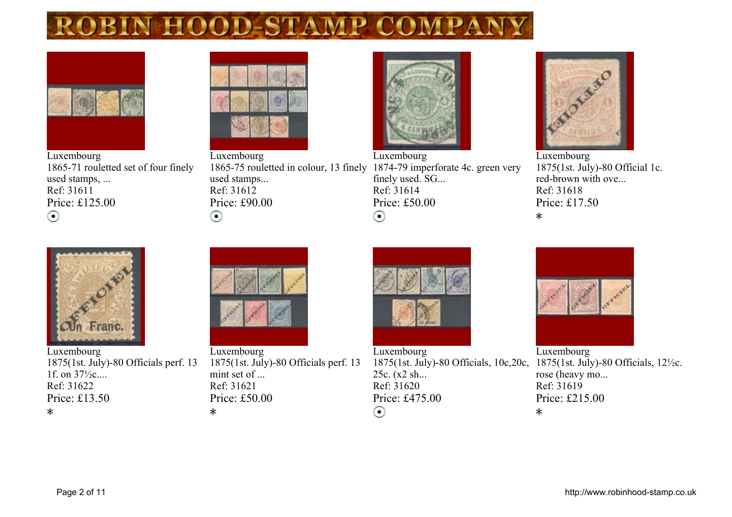

**Luxembourg 1865-71 rouletted set of four finely used stamps, ... Ref: 31611 Price: £125.00**  $_{\odot}$ 



**Luxembourg used stamps... Ref: 31612 Price: £90.00**  $_{\odot}$ 



**Luxembourg 1865-75 rouletted in colour, 13 finely 1874-79 imperforate 4c. green very finely used. SG... Ref: 31614 Price: £50.00**  $\odot$ 



**Luxembourg 1875(1st. July)-80 Official 1c. red-brown with ove... Ref: 31618 Price: £17.50**  $\ast$ 



**Luxembourg 1875(1st. July)-80 Officials perf. 13 1f. on 37½c.... Ref: 31622 Price: £13.50** \*



**Luxembourg 1875(1st. July)-80 Officials perf. 13 mint set of ... Ref: 31621 Price: £50.00** \*



**Luxembourg 1875(1st. July)-80 Officials, 10c,20c, 25c. (x2 sh... Ref: 31620 Price: £475.00**  $_{\odot}$ 



**Luxembourg 1875(1st. July)-80 Officials, 12½c. rose (heavy mo... Ref: 31619 Price: £215.00** \*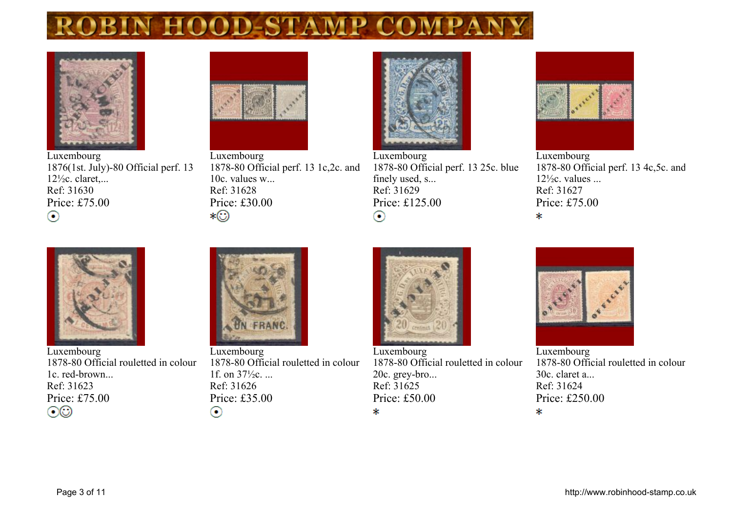

**Luxembourg 1876(1st. July)-80 Official perf. 13 12½c. claret,... Ref: 31630 Price: £75.00**  $_{\odot}$ 



**Luxembourg 1878-80 Official perf. 13 1c,2c. and 10c. values w... Ref: 31628 Price: £30.00** ∗©



**Luxembourg 1878-80 Official perf. 13 25c. blue finely used, s... Ref: 31629 Price: £125.00**  $_{\odot}$ 



**Luxembourg 1878-80 Official perf. 13 4c,5c. and 12½c. values ... Ref: 31627 Price: £75.00**  $\ast$ 



**Luxembourg 1878-80 Official rouletted in colour 1c. red-brown... Ref: 31623 Price: £75.00**  $\odot\odot$ 



**Luxembourg 1878-80 Official rouletted in colour 1f. on 37½c. ... Ref: 31626 Price: £35.00**  $_{\odot}$ 



**Luxembourg 1878-80 Official rouletted in colour 20c. grey-bro... Ref: 31625 Price: £50.00** \*



**Luxembourg 1878-80 Official rouletted in colour 30c. claret a... Ref: 31624 Price: £250.00** \*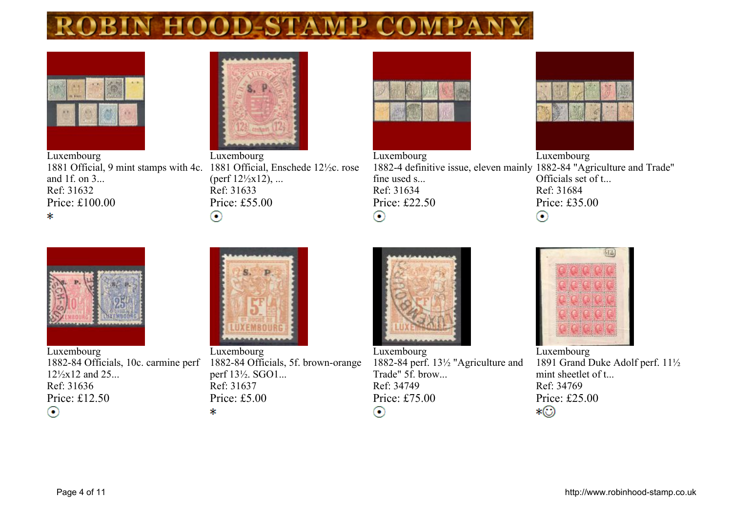

**Luxembourg 1881 Official, 9 mint stamps with 4c. 1881 Official, Enschede 12½c. rose and 1f. on 3... Ref: 31632 Price: £100.00** \*



**Luxembourg (perf 12½x12), ... Ref: 31633 Price: £55.00**  $_{\odot}$ 



**Luxembourg Luxembourg 1882-4 definitive issue, eleven mainly 1882-84 "Agriculture and Trade" fine used s... Officials set of t... Ref: 31634 Ref: 31684 Price: £22.50 Price: £35.00**  $_{\odot}$  $_{\odot}$ 



**Luxembourg 1882-84 Officials, 10c. carmine perf 12½x12 and 25... Ref: 31636 Price: £12.50**  $_{\odot}$ 



**Luxembourg 1882-84 Officials, 5f. brown-orange perf 13½. SGO1... Ref: 31637 Price: £5.00** \*



**Luxembourg 1882-84 perf. 13½ "Agriculture and Trade" 5f. brow... Ref: 34749 Price: £75.00**  $_{\odot}$ 



**Luxembourg 1891 Grand Duke Adolf perf. 11½ mint sheetlet of t... Ref: 34769 Price: £25.00** ∗©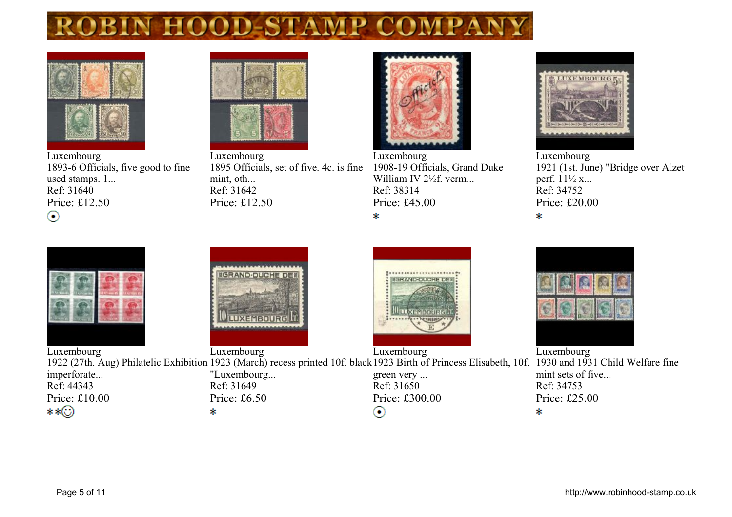



**Luxembourg 1893-6 Officials, five good to fine used stamps. 1... Ref: 31640 Price: £12.50**  $_{\odot}$ 



**Luxembourg 1895 Officials, set of five. 4c. is fine mint, oth... Ref: 31642 Price: £12.50**



**Luxembourg 1908-19 Officials, Grand Duke William IV 2½f. verm... Ref: 38314 Price: £45.00** \*





**Luxembourg** 1921 (1st. June) "Bridge over Alzet **perf. 11½ x... Ref: 34752 Price: £20.00**  $\ast$ 









**Luxembourg mint sets of five... Ref: 34753 Price: £25.00**

**Luxembourg Luxembourg Luxembourg** 1922 (27th. Aug) Philatelic Exhibition 1923 (March) recess printed 10f. black 1923 Birth of Princess Elisabeth, 10f. 1930 and 1931 Child Welfare fine **imperforate... "Luxembourg... green very ... Ref: 44343 Ref: 31649 Ref: 31650 Price: £10.00 Price: £6.50 Price: £300.00** \*\*⊙ \*  $_{\odot}$ \*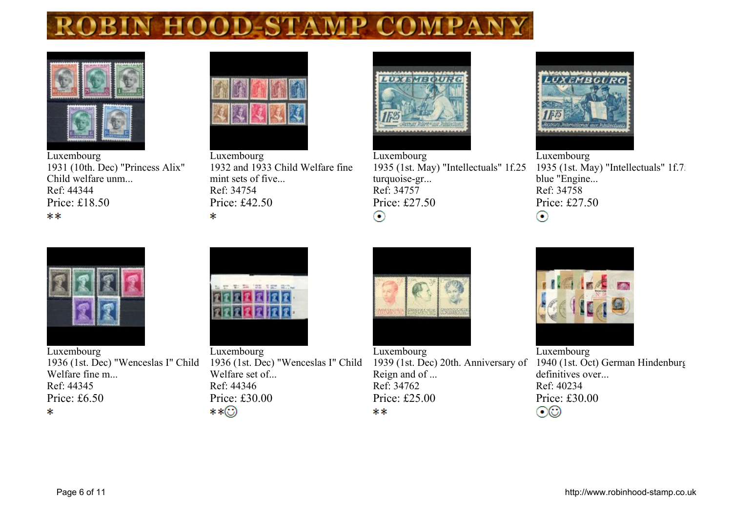



**Luxembourg 1931 (10th. Dec) "Princess Alix" Child welfare unm... Ref: 44344 Price: £18.50** \*\*



**Luxembourg 1932 and 1933 Child Welfare fine mint sets of five... Ref: 34754 Price: £42.50**  $\mathcal{R}$ 



**Luxembourg 1935 (1st. May) "Intellectuals" 1f.25 turquoise-gr... Ref: 34757 Price: £27.50**  $_{\odot}$ 



**Luxembourg 1935 (1st. May) "Intellectuals" 1f.75 blue "Engine... Ref: 34758 Price: £27.50**  $\odot$ 



**Luxembourg 1936 (1st. Dec) "Wenceslas I" Child Welfare fine m... Ref: 44345 Price: £6.50** \*



**Luxembourg 1936 (1st. Dec) "Wenceslas I" Child Welfare set of... Ref: 44346 Price: £30.00** \*\*⊙

**Luxembourg 1939 (1st. Dec) 20th. Anniversary of Reign and of ... Ref: 34762 Price: £25.00** \*\*



**Luxembourg 1940 (1st. Oct) German Hindenburg definitives over... Ref: 40234 Price: £30.00**  $\odot\odot$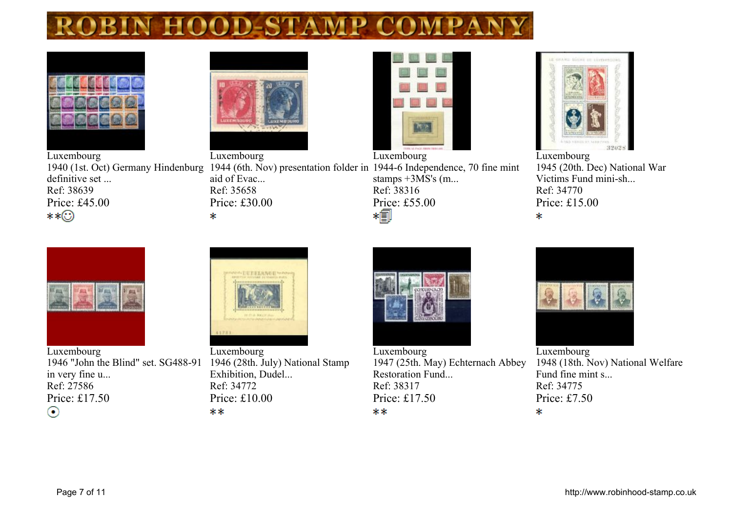

**definitive set ... Ref: 38639 Price: £45.00**

\*\*⊙



**aid of Evac... Ref: 35658 Price: £30.00**

 $\mathcal{R}$ 



**1940 (1st. Oct) Germany Hindenburg 1944 (6th. Nov) presentation folder in 1944-6 Independence, 70 fine mint Luxembourg stamps +3MS's (m... Ref: 38316 Price: £55.00**



**Luxembourg 1945 (20th. Dec) National War Victims Fund mini-sh... Ref: 34770 Price: £15.00**  $\ast$ 



**Luxembourg 1946 "John the Blind" set. SG488-91 1946 (28th. July) National Stamp in very fine u... Ref: 27586 Price: £17.50**  $_{\odot}$ 



**Luxembourg Exhibition, Dudel... Ref: 34772 Price: £10.00** \*\*



**Luxembourg**

**1947 (25th. May) Echternach Abbey Restoration Fund... Ref: 38317 Price: £17.50** \*\*



**Luxembourg 1948 (18th. Nov) National Welfare Fund fine mint s... Ref: 34775 Price: £7.50** \*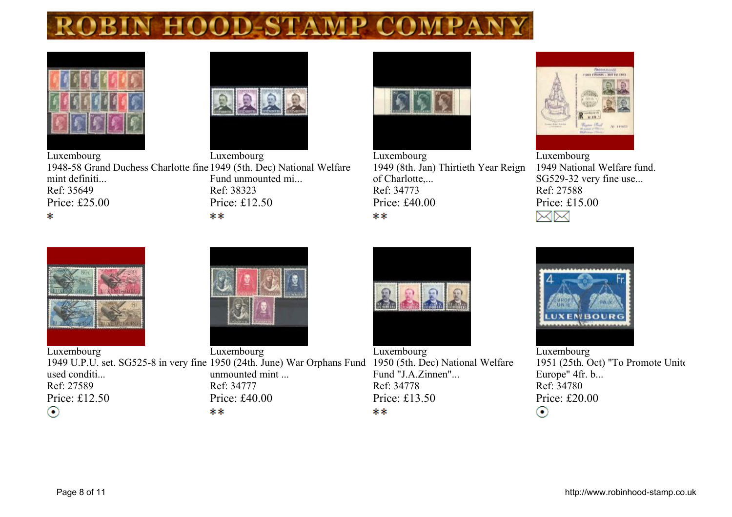



**Luxembourg Luxembourg 1948-58 Grand Duchess Charlotte fine 1949 (5th. Dec) National Welfare mint definiti... Fund unmounted mi... Ref: 35649 Ref: 38323 Price: £25.00 Price: £12.50** \* \*\*



**Luxembourg 1949 (8th. Jan) Thirtieth Year Reign of Charlotte,... Ref: 34773 Price: £40.00** \*\*



**Luxembourg 1949 National Welfare fund. SG529-32 very fine use... Ref: 27588 Price: £15.00** MM





**Luxembourg Luxembourg** 1949 U.P.U. set. SG525-8 in very fine 1950 (24th. June) War Orphans Fund 1950 (5th. Dec) National Welfare **used conditi... unmounted mint ... Ref: 27589 Ref: 34777 Price: £12.50 Price: £40.00 Price: £13.50**  $_{\odot}$ \*\* \*\*



**Luxembourg Fund "J.A.Zinnen"... Ref: 34778**



**Luxembourg** 1951 (25th. Oct) "To Promote United **Europe" 4fr. b... Ref: 34780 Price: £20.00**  $_{\odot}$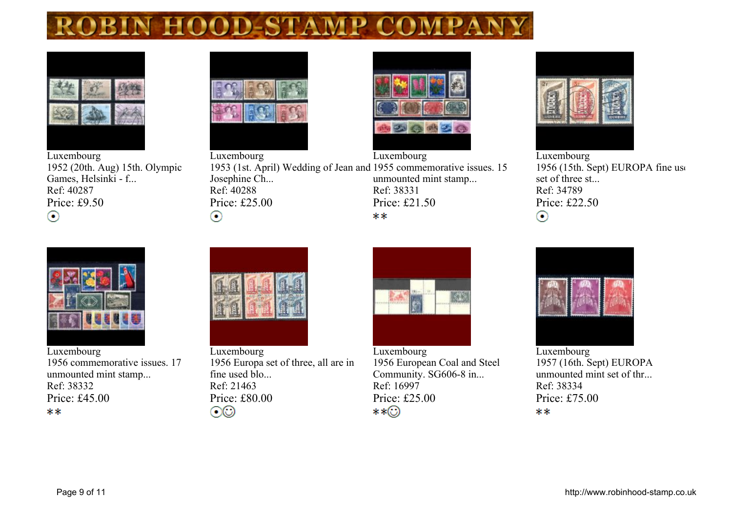

**Luxembourg 1952 (20th. Aug) 15th. Olympic Games, Helsinki - f... Ref: 40287 Price: £9.50**  $_{\odot}$ 





**Luxembourg Luxembourg 1953 (1st. April) Wedding of Jean and 1955 commemorative issues. 15 Josephine Ch... unmounted mint stamp... Ref: 40288 Ref: 38331 Price: £25.00 Price: £21.50** \*\*



**Luxembourg 1956** (15th. Sept) **EUROPA** fine use **set of three st... Ref: 34789 Price: £22.50**  $_{\odot}$ 



**Luxembourg 1956 commemorative issues. 17 unmounted mint stamp... Ref: 38332 Price: £45.00** \*\*



 $_{\odot}$ 

**Luxembourg 1956 Europa set of three, all are in fine used blo... Ref: 21463 Price: £80.00**  $\odot$ 



**Luxembourg 1956 European Coal and Steel Community. SG606-8 in... Ref: 16997 Price: £25.00** \*\*⊙



**Luxembourg 1957 (16th. Sept) EUROPA unmounted mint set of thr... Ref: 38334 Price: £75.00** \*\*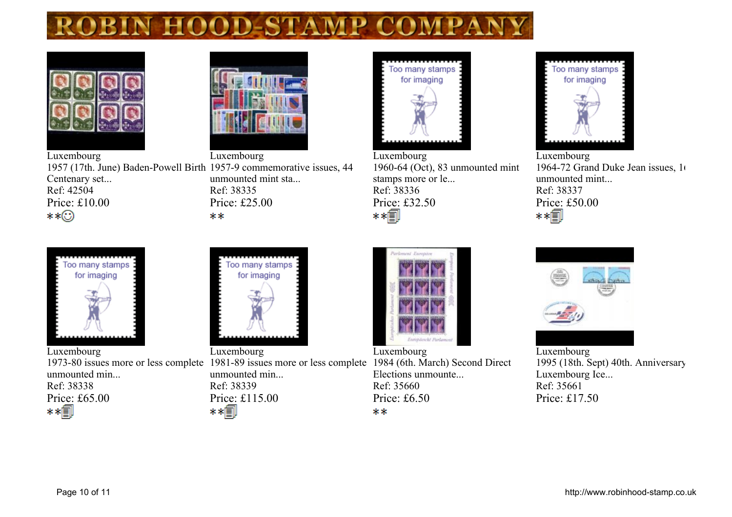



**Luxembourg Luxembourg 1957 (17th. June) Baden-Powell Birth 1957-9 commemorative issues, 44 Centenary set... unmounted mint sta... Ref: 42504 Ref: 38335 Price: £10.00 Price: £25.00** \*\*⊙ \*\*



**Luxembourg 1960-64 (Oct), 83 unmounted mint stamps more or le... Ref: 38336 Price: £32.50** \*\*∭

Too many stamps for imaging

**Luxembourg 1964-72 Grand Duke Jean issues, 166 unmounted mint... Ref: 38337 Price: £50.00**<br>**∗ ∗** 



**Luxembourg 1973-80 issues more or less complete 1981-89 issues more or less complete 1984 (6th. March) Second Direct unmounted min... Ref: 38338 Price: £65.00** 



**Luxembourg unmounted min... Ref: 38339 Price: £115.00** 



**Luxembourg**

**Elections unmounte... Ref: 35660 Price: £6.50** \*\*



**Luxembourg 1995 (18th. Sept) 40th. Anniversary Luxembourg Ice... Ref: 35661 Price: £17.50**